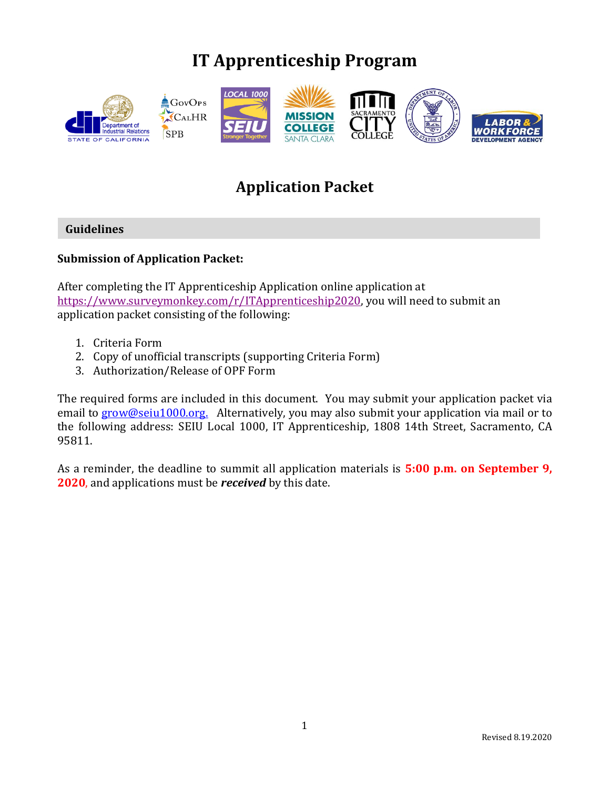# **IT Apprenticeship Program**



# **Application Packet**

#### **Guidelines**

#### **Submission of Application Packet:**

After completing the IT Apprenticeship Application online application at [https://www.surveymonkey.com/r/ITApprenticeship2020,](https://www.surveymonkey.com/r/ITApprenticeship2020) you will need to submit an application packet consisting of the following:

- 1. Criteria Form
- 2. Copy of unofficial transcripts (supporting Criteria Form)
- 3. Authorization/Release of OPF Form

The required forms are included in this document. You may submit your application packet via email to [grow@seiu1000.org.](mailto:grow@seiu1000.org) Alternatively, you may also submit your application via mail or to the following address: SEIU Local 1000, IT Apprenticeship, 1808 14th Street, Sacramento, CA 95811.

As a reminder, the deadline to summit all application materials is **5:00 p.m. on September 9, 2020**, and applications must be *received* by this date.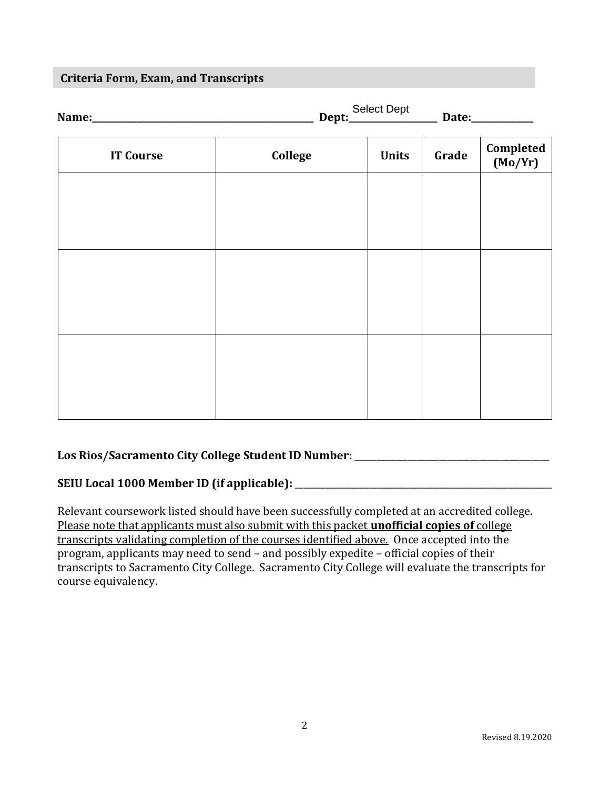#### **Criteria Form, Exam, and Transcripts**

| Name:            | <b>Select Dept</b><br>Dept:<br>Date: |              |       |                          |
|------------------|--------------------------------------|--------------|-------|--------------------------|
| <b>IT Course</b> | College                              | <b>Units</b> | Grade | Completed<br>$(M_2/N_2)$ |

| <b>IT Course</b> | College | <b>Units</b> | Grade | (Mo/Yr) |
|------------------|---------|--------------|-------|---------|
|                  |         |              |       |         |
|                  |         |              |       |         |
|                  |         |              |       |         |
|                  |         |              |       |         |
|                  |         |              |       |         |
|                  |         |              |       |         |
|                  |         |              |       |         |
|                  |         |              |       |         |
|                  |         |              |       |         |
|                  |         |              |       |         |
|                  |         |              |       |         |

#### **Los Rios/Sacramento City College Student ID Number**: \_\_\_\_\_\_\_\_\_\_\_\_\_\_\_\_\_\_\_\_\_\_\_\_\_\_\_\_\_\_\_\_\_\_\_\_\_\_\_\_\_\_\_\_

#### **SEIU Local 1000 Member ID (if applicable):** \_\_\_\_\_\_\_\_\_\_\_\_\_\_\_\_\_\_\_\_\_\_\_\_\_\_\_\_\_\_\_\_\_\_\_\_\_\_\_\_\_\_\_\_\_\_\_\_\_\_\_\_\_\_\_\_\_\_

Relevant coursework listed should have been successfully completed at an accredited college. Please note that applicants must also submit with this packet **unofficial copies of** college transcripts validating completion of the courses identified above. Once accepted into the program, applicants may need to send – and possibly expedite – official copies of their transcripts to Sacramento City College. Sacramento City College will evaluate the transcripts for course equivalency.